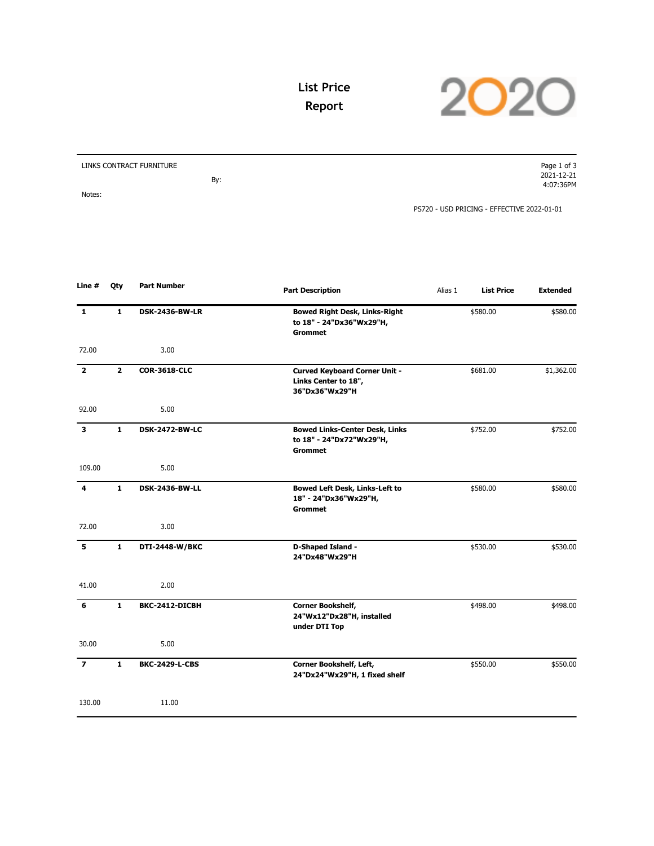

## **List Price Report**

| LINKS CONTRACT FURNITURE | Page 1 of 3                                |
|--------------------------|--------------------------------------------|
|                          | 2021-12-21                                 |
| By:                      | 4:07:36PM                                  |
| Notes:                   |                                            |
|                          | PS720 - USD PRICING - EFFECTIVE 2022-01-01 |

| Line #                  | Qty          | <b>Part Number</b>    | <b>Part Description</b>                                                             | Alias 1 | <b>List Price</b> | <b>Extended</b> |
|-------------------------|--------------|-----------------------|-------------------------------------------------------------------------------------|---------|-------------------|-----------------|
| $\mathbf{1}$            | $\mathbf{1}$ | <b>DSK-2436-BW-LR</b> | <b>Bowed Right Desk, Links-Right</b><br>to 18" - 24"Dx36"Wx29"H,<br><b>Grommet</b>  |         | \$580.00          | \$580.00        |
| 72.00                   |              | 3.00                  |                                                                                     |         |                   |                 |
| $\overline{\mathbf{2}}$ | $\mathbf{2}$ | <b>COR-3618-CLC</b>   | <b>Curved Keyboard Corner Unit -</b><br>Links Center to 18",<br>36"Dx36"Wx29"H      |         | \$681.00          | \$1,362.00      |
| 92.00                   |              | 5.00                  |                                                                                     |         |                   |                 |
| 3                       | $\mathbf{1}$ | <b>DSK-2472-BW-LC</b> | <b>Bowed Links-Center Desk, Links</b><br>to 18" - 24"Dx72"Wx29"H,<br><b>Grommet</b> |         | \$752.00          | \$752.00        |
| 109.00                  |              | 5.00                  |                                                                                     |         |                   |                 |
| 4                       | $\mathbf{1}$ | <b>DSK-2436-BW-LL</b> | <b>Bowed Left Desk, Links-Left to</b><br>18" - 24"Dx36"Wx29"H,<br><b>Grommet</b>    |         | \$580.00          | \$580.00        |
| 72.00                   |              | 3.00                  |                                                                                     |         |                   |                 |
| 5                       | $\mathbf{1}$ | DTI-2448-W/BKC        | D-Shaped Island -<br>24"Dx48"Wx29"H                                                 |         | \$530.00          | \$530.00        |
| 41.00                   |              | 2.00                  |                                                                                     |         |                   |                 |
| 6                       | $\mathbf{1}$ | BKC-2412-DICBH        | <b>Corner Bookshelf,</b><br>24"Wx12"Dx28"H, installed<br>under DTI Top              |         | \$498.00          | \$498.00        |
| 30.00                   |              | 5.00                  |                                                                                     |         |                   |                 |
| $\overline{\mathbf{z}}$ | $\mathbf{1}$ | <b>BKC-2429-L-CBS</b> | Corner Bookshelf, Left,<br>24"Dx24"Wx29"H, 1 fixed shelf                            |         | \$550.00          | \$550.00        |
| 130.00                  |              | 11.00                 |                                                                                     |         |                   |                 |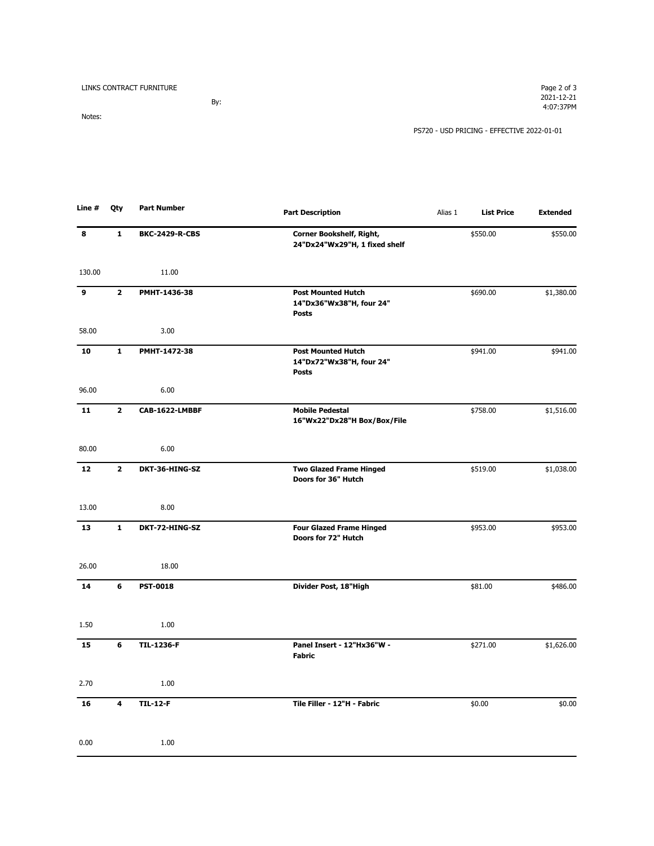LINKS CONTRACT FURNITURE

By: Notes:

PS720 - USD PRICING - EFFECTIVE 2022-01-01

| Line # | Qty          | <b>Part Number</b>    | <b>Part Description</b>                                               | Alias 1 | <b>List Price</b> | <b>Extended</b> |
|--------|--------------|-----------------------|-----------------------------------------------------------------------|---------|-------------------|-----------------|
| 8      | $\mathbf 1$  | <b>BKC-2429-R-CBS</b> | Corner Bookshelf, Right,<br>24"Dx24"Wx29"H, 1 fixed shelf             |         | \$550.00          | \$550.00        |
| 130.00 |              | 11.00                 |                                                                       |         |                   |                 |
| 9      | $\mathbf{2}$ | PMHT-1436-38          | <b>Post Mounted Hutch</b><br>14"Dx36"Wx38"H, four 24"<br><b>Posts</b> |         | \$690.00          | \$1,380.00      |
| 58.00  |              | 3.00                  |                                                                       |         |                   |                 |
| 10     | $\mathbf{1}$ | PMHT-1472-38          | <b>Post Mounted Hutch</b><br>14"Dx72"Wx38"H, four 24"<br><b>Posts</b> |         | \$941.00          | \$941.00        |
| 96.00  |              | 6.00                  |                                                                       |         |                   |                 |
| 11     | $\mathbf{2}$ | CAB-1622-LMBBF        | <b>Mobile Pedestal</b><br>16"Wx22"Dx28"H Box/Box/File                 |         | \$758.00          | \$1,516.00      |
| 80.00  |              | 6.00                  |                                                                       |         |                   |                 |
| 12     | $\mathbf{2}$ | DKT-36-HING-SZ        | <b>Two Glazed Frame Hinged</b><br>Doors for 36" Hutch                 |         | \$519.00          | \$1,038.00      |
| 13.00  |              | 8.00                  |                                                                       |         |                   |                 |
| 13     | $\mathbf 1$  | DKT-72-HING-SZ        | <b>Four Glazed Frame Hinged</b><br>Doors for 72" Hutch                |         | \$953.00          | \$953.00        |
| 26.00  |              | 18.00                 |                                                                       |         |                   |                 |
| 14     | 6            | <b>PST-0018</b>       | Divider Post, 18"High                                                 |         | \$81.00           | \$486.00        |
| 1.50   |              | 1.00                  |                                                                       |         |                   |                 |
| 15     | 6            | <b>TIL-1236-F</b>     | Panel Insert - 12"Hx36"W -<br><b>Fabric</b>                           |         | \$271.00          | \$1,626.00      |
| 2.70   |              | 1.00                  |                                                                       |         |                   |                 |
| 16     | 4            | <b>TIL-12-F</b>       | Tile Filler - 12"H - Fabric                                           |         | \$0.00            | \$0.00          |
| 0.00   |              | 1.00                  |                                                                       |         |                   |                 |